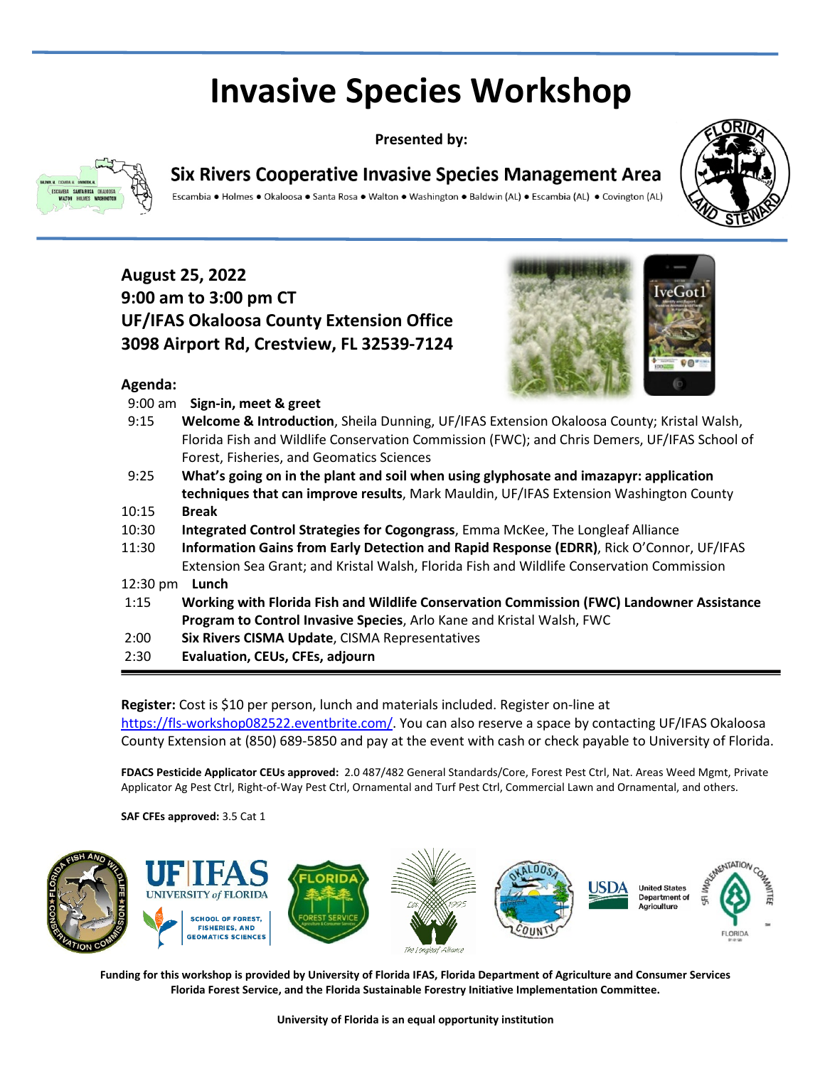# **Invasive Species Workshop**

**Presented by:**



**Agenda:**

## **Six Rivers Cooperative Invasive Species Management Area**

Escambia • Holmes • Okaloosa • Santa Rosa • Walton • Washington • Baldwin (AL) • Escambia (AL) • Covington (AL)



## **August 25, 2022 9:00 am to 3:00 pm CT UF/IFAS Okaloosa County Extension Office 3098 Airport Rd, Crestview, FL 32539-7124**



| $9:00$ am | Sign-in, meet & greet                                                                        |
|-----------|----------------------------------------------------------------------------------------------|
| 9:15      | Welcome & Introduction, Sheila Dunning, UF/IFAS Extension Okaloosa County; Kristal Walsh,    |
|           | Florida Fish and Wildlife Conservation Commission (FWC); and Chris Demers, UF/IFAS School of |
|           | Forest, Fisheries, and Geomatics Sciences                                                    |
| 9:25      | What's going on in the plant and soil when using glyphosate and imazapyr: application        |
|           | techniques that can improve results, Mark Mauldin, UF/IFAS Extension Washington County       |
| 10:15     | <b>Break</b>                                                                                 |
| 10:30     | Integrated Control Strategies for Cogongrass, Emma McKee, The Longleaf Alliance              |
| 11:30     | Information Gains from Early Detection and Rapid Response (EDRR), Rick O'Connor, UF/IFAS     |
|           | Extension Sea Grant; and Kristal Walsh, Florida Fish and Wildlife Conservation Commission    |
| 12:30 pm  | Lunch                                                                                        |
| 1:15      | Working with Florida Fish and Wildlife Conservation Commission (FWC) Landowner Assistance    |
|           | Program to Control Invasive Species, Arlo Kane and Kristal Walsh, FWC                        |
| 2:00      | Six Rivers CISMA Update, CISMA Representatives                                               |
|           |                                                                                              |

2:30 **Evaluation, CEUs, CFEs, adjourn**

**Register:** Cost is \$10 per person, lunch and materials included. Register on-line at [https://fls-workshop082522.eventbrite.com/.](https://fls-workshop082522.eventbrite.com/) You can also reserve a space by contacting UF/IFAS Okaloosa County Extension at (850) 689-5850 and pay at the event with cash or check payable to University of Florida.

**FDACS Pesticide Applicator CEUs approved:** 2.0 487/482 General Standards/Core, Forest Pest Ctrl, Nat. Areas Weed Mgmt, Private Applicator Ag Pest Ctrl, Right-of-Way Pest Ctrl, Ornamental and Turf Pest Ctrl, Commercial Lawn and Ornamental, and others.

**SAF CFEs approved:** 3.5 Cat 1



**Funding for this workshop is provided by University of Florida IFAS, Florida Department of Agriculture and Consumer Services Florida Forest Service, and the Florida Sustainable Forestry Initiative Implementation Committee.**